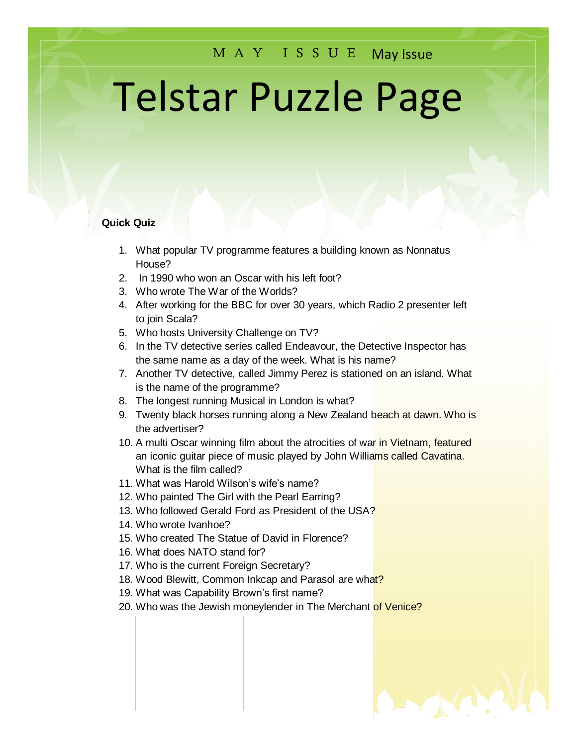## M A Y I S S U E May Issue

# Telstar Puzzle Page

#### **Quick Quiz**

- 1. What popular TV programme features a building known as Nonnatus House?
- 2. In 1990 who won an Oscar with his left foot?
- 3. Who wrote The War of the Worlds?
- 4. After working for the BBC for over 30 years, which Radio 2 presenter left to join Scala?
- 5. Who hosts University Challenge on TV?
- 6. In the TV detective series called Endeavour, the Detective Inspector has the same name as a day of the week. What is his name?
- 7. Another TV detective, called Jimmy Perez is stationed on an island. What is the name of the programme?
- 8. The longest running Musical in London is what?
- 9. Twenty black horses running along a New Zealand beach at dawn. Who is the advertiser?
- 10. A multi Oscar winning film about the atrocities of war in Vietnam, featured an iconic guitar piece of music played by John Williams called Cavatina. What is the film called?
- 11. What was Harold Wilson's wife's name?
- 12. Who painted The Girl with the Pearl Earring?
- 13. Who followed Gerald Ford as President of the USA?
- 14. Who wrote Ivanhoe?
- 15. Who created The Statue of David in Florence?
- 16. What does NATO stand for?
- 17. Who is the current Foreign Secretary?
- 18. Wood Blewitt, Common Inkcap and Parasol are what?
- 19. What was Capability Brown's first name?
- 20. Who was the Jewish moneylender in The Merchant of Venice?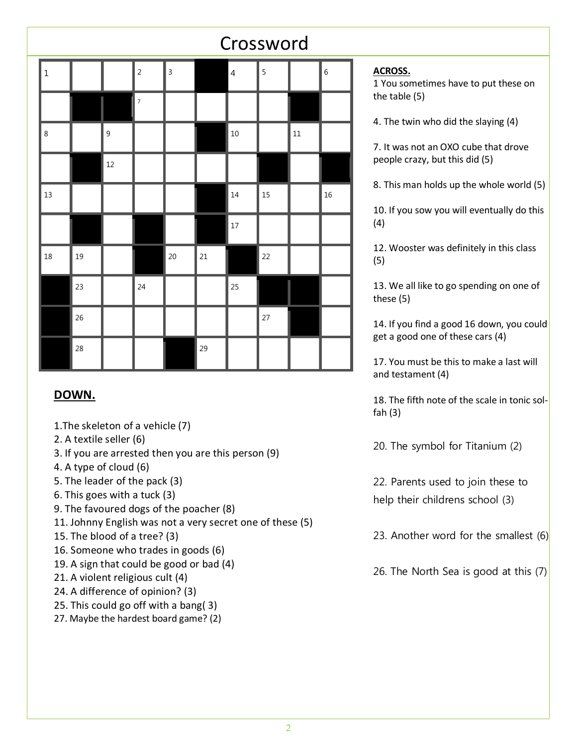|  |             |    | Crossword |                |                |    |                |    |        |                  |
|--|-------------|----|-----------|----------------|----------------|----|----------------|----|--------|------------------|
|  | $\mathbf 1$ |    |           | $\overline{2}$ | $\overline{3}$ |    | $\overline{4}$ | 5  |        | $\boldsymbol{6}$ |
|  |             |    |           | $\overline{7}$ |                |    |                |    |        |                  |
|  | $\,8\,$     |    | 9         |                |                |    | $10\,$         |    | $11\,$ |                  |
|  |             |    | 12        |                |                |    |                |    |        |                  |
|  | 13          |    |           |                |                |    | 14             | 15 |        | 16               |
|  |             |    |           |                |                |    | $17\,$         |    |        |                  |
|  | 18          | 19 |           |                | 20             | 21 |                | 22 |        |                  |
|  |             | 23 |           | 24             |                |    | 25             |    |        |                  |
|  |             | 26 |           |                |                |    |                | 27 |        |                  |
|  |             | 28 |           |                |                | 29 |                |    |        |                  |

## **DOWN.**

- 1.The skeleton of a vehicle (7)
- 2. A textile seller (6)
- 3. If you are arrested then you are this person (9)
- 4. A type of cloud (6)
- 5. The leader of the pack (3)
- 6. This goes with a tuck (3)
- 9. The favoured dogs of the poacher (8)
- 11. Johnny English was not a very secret one of these (5)
- 15. The blood of a tree? (3)
- 16. Someone who trades in goods (6)
- 19. A sign that could be good or bad (4)
- 21. A violent religious cult (4)
- 24. A difference of opinion? (3)
- 25. This could go off with a bang( 3)
- 27. Maybe the hardest board game? (2)

#### **ACROSS.**

1 You sometimes have to put these on the table (5)

4. The twin who did the slaying (4)

7. It was not an OXO cube that drove people crazy, but this did (5)

8. This man holds up the whole world (5)

10. If you sow you will eventually do this (4)

12. Wooster was definitely in this class (5)

13. We all like to go spending on one of these (5)

14. If you find a good 16 down, you could get a good one of these cars (4)

17. You must be this to make a last will and testament (4)

18. The fifth note of the scale in tonic solfah (3)

20. The symbol for Titanium (2)

22. Parents used to join these to help their childrens school (3)

23. Another word for the smallest  $(6)$ 

26. The North Sea is good at this (7)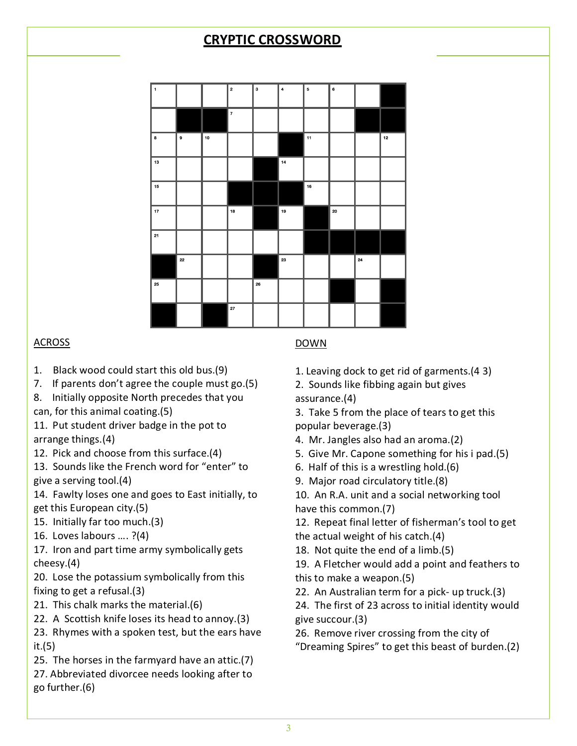# **CRYPTIC CROSSWORD**



## ACROSS

- 1. Black wood could start this old bus.(9)
- 7. If parents don't agree the couple must go.(5)
- 8. Initially opposite North precedes that you
- can, for this animal coating.(5)
- 11. Put student driver badge in the pot to arrange things.(4)
- 12. Pick and choose from this surface.(4)
- 13. Sounds like the French word for "enter" to give a serving tool.(4)
- 14. Fawlty loses one and goes to East initially, to get this European city.(5)
- 15. Initially far too much.(3)
- 16. Loves labours …. ?(4)
- 17. Iron and part time army symbolically gets cheesy.(4)

20. Lose the potassium symbolically from this fixing to get a refusal.(3)

- 21. This chalk marks the material.(6)
- 22. A Scottish knife loses its head to annoy.(3)

23. Rhymes with a spoken test, but the ears have it.(5)

- 25. The horses in the farmyard have an attic.(7)
- 27. Abbreviated divorcee needs looking after to go further.(6)

## DOWN

- 1. Leaving dock to get rid of garments.(4 3)
- 2. Sounds like fibbing again but gives assurance.(4)

3. Take 5 from the place of tears to get this popular beverage.(3)

- 4. Mr. Jangles also had an aroma.(2)
- 5. Give Mr. Capone something for his i pad.(5)
- 6. Half of this is a wrestling hold.(6)
- 9. Major road circulatory title.(8)

10. An R.A. unit and a social networking tool have this common.(7)

12. Repeat final letter of fisherman's tool to get the actual weight of his catch.(4)

18. Not quite the end of a limb.(5)

19. A Fletcher would add a point and feathers to this to make a weapon.(5)

22. An Australian term for a pick- up truck.(3)

24. The first of 23 across to initial identity would give succour.(3)

26. Remove river crossing from the city of

"Dreaming Spires" to get this beast of burden.(2)